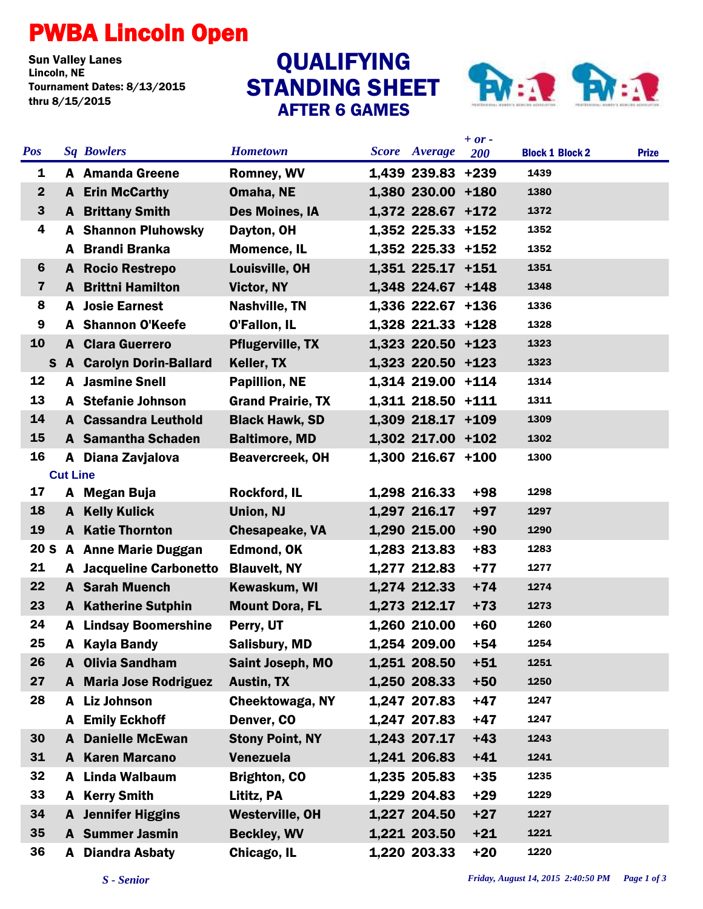## PWBA Lincoln Open

**Sun Valley Lanes<br>Lincoln, NE** Tournament Dates: 8/13/2015 thru 8/15/2015

## STANDING SHEET AFTER 6 GAMES QUALIFYING



|                 |                 |                                  |                          |              |                   | $+ or -$ |                        |              |
|-----------------|-----------------|----------------------------------|--------------------------|--------------|-------------------|----------|------------------------|--------------|
| <b>Pos</b>      |                 | <b>Sq Bowlers</b>                | <b>Hometown</b>          | <b>Score</b> | Average           | 200      | <b>Block 1 Block 2</b> | <b>Prize</b> |
| 1               |                 | A Amanda Greene                  | <b>Romney, WV</b>        |              | 1,439 239.83 +239 |          | 1439                   |              |
| $\mathbf{2}$    |                 | A Erin McCarthy                  | Omaha, NE                |              | 1,380 230.00 +180 |          | 1380                   |              |
| $\mathbf{3}$    |                 | <b>A</b> Brittany Smith          | Des Moines, IA           |              | 1,372 228.67 +172 |          | 1372                   |              |
| 4               |                 | <b>A</b> Shannon Pluhowsky       | Dayton, OH               |              | 1,352 225.33 +152 |          | 1352                   |              |
|                 |                 | A Brandi Branka                  | <b>Momence, IL</b>       |              | 1,352 225.33 +152 |          | 1352                   |              |
| 6               |                 | <b>A</b> Rocio Restrepo          | Louisville, OH           |              | 1,351 225.17 +151 |          | 1351                   |              |
| 7               |                 | <b>A</b> Brittni Hamilton        | Victor, NY               |              | 1,348 224.67 +148 |          | 1348                   |              |
| 8               |                 | <b>A</b> Josie Earnest           | <b>Nashville, TN</b>     |              | 1,336 222.67 +136 |          | 1336                   |              |
| 9               |                 | <b>A</b> Shannon O'Keefe         | O'Fallon, IL             |              | 1,328 221.33 +128 |          | 1328                   |              |
| 10              | A               | <b>Clara Guerrero</b>            | <b>Pflugerville, TX</b>  |              | 1,323 220.50 +123 |          | 1323                   |              |
|                 |                 | <b>S</b> A Carolyn Dorin-Ballard | Keller, TX               |              | 1,323 220.50 +123 |          | 1323                   |              |
| 12              |                 | <b>A</b> Jasmine Snell           | <b>Papillion, NE</b>     |              | 1,314 219.00 +114 |          | 1314                   |              |
| 13              |                 | A Stefanie Johnson               | <b>Grand Prairie, TX</b> |              | 1,311 218.50 +111 |          | 1311                   |              |
| 14              |                 | <b>A</b> Cassandra Leuthold      | <b>Black Hawk, SD</b>    |              | 1,309 218.17 +109 |          | 1309                   |              |
| 15              |                 | A Samantha Schaden               | <b>Baltimore, MD</b>     |              | 1,302 217.00 +102 |          | 1302                   |              |
| 16              |                 | A Diana Zavjalova                | <b>Beavercreek, OH</b>   |              | 1,300 216.67 +100 |          | 1300                   |              |
|                 | <b>Cut Line</b> |                                  |                          |              |                   |          |                        |              |
| 17              |                 | A Megan Buja                     | <b>Rockford, IL</b>      |              | 1,298 216.33      | $+98$    | 1298                   |              |
| 18              | A               | <b>Kelly Kulick</b>              | Union, NJ                |              | 1,297 216.17      | $+97$    | 1297                   |              |
| 19              |                 | <b>A</b> Katie Thornton          | <b>Chesapeake, VA</b>    |              | 1,290 215.00      | $+90$    | 1290                   |              |
| 20 <sub>S</sub> |                 | <b>A</b> Anne Marie Duggan       | <b>Edmond, OK</b>        |              | 1,283 213.83      | $+83$    | 1283                   |              |
| 21              |                 | <b>A</b> Jacqueline Carbonetto   | <b>Blauvelt, NY</b>      |              | 1,277 212.83      | $+77$    | 1277                   |              |
| 22              |                 | <b>A</b> Sarah Muench            | Kewaskum, WI             |              | 1,274 212.33      | $+74$    | 1274                   |              |
| 23              |                 | <b>A</b> Katherine Sutphin       | <b>Mount Dora, FL</b>    |              | 1,273 212.17      | $+73$    | 1273                   |              |
| 24              |                 | <b>A</b> Lindsay Boomershine     | Perry, UT                |              | 1,260 210.00      | $+60$    | 1260                   |              |
| 25              | A               | <b>Kayla Bandy</b>               | <b>Salisbury, MD</b>     |              | 1,254 209.00      | +54      | 1254                   |              |
| 26              |                 | A Olivia Sandham                 | Saint Joseph, MO         |              | 1,251 208.50      | $+51$    | 1251                   |              |
| 27              |                 | <b>A</b> Maria Jose Rodriguez    | <b>Austin, TX</b>        |              | 1,250 208.33      | $+50$    | 1250                   |              |
| 28              |                 | A Liz Johnson                    | Cheektowaga, NY          |              | 1,247 207.83      | $+47$    | 1247                   |              |
|                 |                 | <b>A</b> Emily Eckhoff           | Denver, CO               |              | 1,247 207.83      | $+47$    | 1247                   |              |
| 30              |                 | <b>A</b> Danielle McEwan         | <b>Stony Point, NY</b>   |              | 1,243 207.17      | $+43$    | 1243                   |              |
| 31              |                 | <b>A</b> Karen Marcano           | Venezuela                |              | 1,241 206.83      | $+41$    | 1241                   |              |
| 32              |                 | A Linda Walbaum                  | <b>Brighton, CO</b>      |              | 1,235 205.83      | $+35$    | 1235                   |              |
| 33              |                 | A Kerry Smith                    | Lititz, PA               |              | 1,229 204.83      | $+29$    | 1229                   |              |
| 34              |                 | <b>A</b> Jennifer Higgins        | <b>Westerville, OH</b>   |              | 1,227 204.50      | $+27$    | 1227                   |              |
| 35              |                 | <b>A</b> Summer Jasmin           | <b>Beckley, WV</b>       |              | 1,221 203.50      | $+21$    | 1221                   |              |
| 36              |                 | <b>A</b> Diandra Asbaty          | Chicago, IL              |              | 1,220 203.33      | $+20$    | 1220                   |              |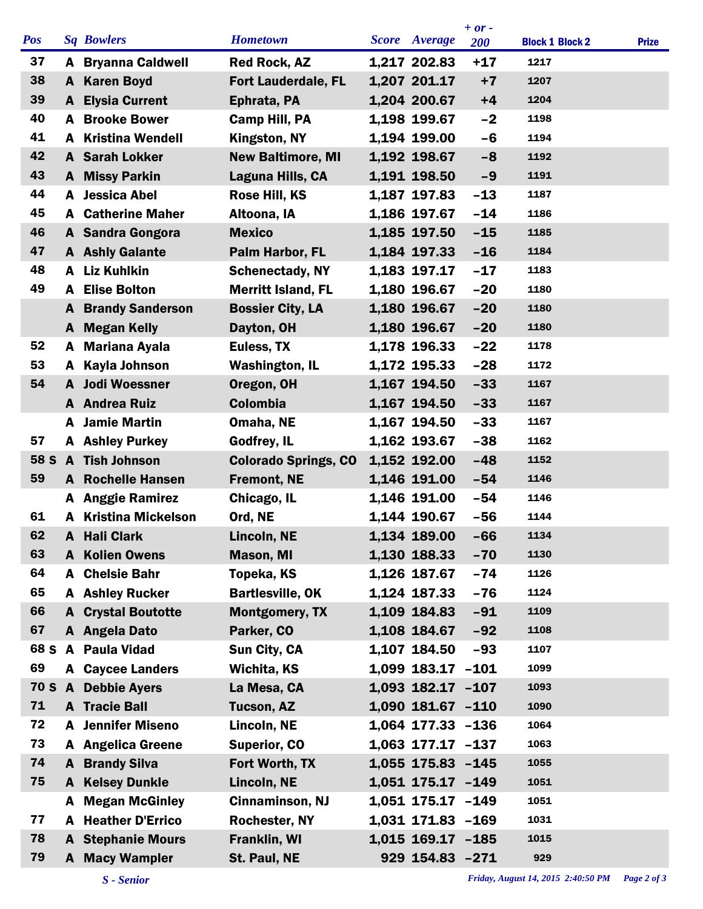|             |   |                             |                             |                      | $+ or -$   |                        |              |
|-------------|---|-----------------------------|-----------------------------|----------------------|------------|------------------------|--------------|
| <b>Pos</b>  |   | <b>Sq Bowlers</b>           | <b>Hometown</b>             | <b>Score</b> Average | <b>200</b> | <b>Block 1 Block 2</b> | <b>Prize</b> |
| 37          |   | <b>A</b> Bryanna Caldwell   | <b>Red Rock, AZ</b>         | 1,217 202.83         | $+17$      | 1217                   |              |
| 38          |   | A Karen Boyd                | <b>Fort Lauderdale, FL</b>  | 1,207 201.17         | $+7$       | 1207                   |              |
| 39          |   | <b>A</b> Elysia Current     | Ephrata, PA                 | 1,204 200.67         | $+4$       | 1204                   |              |
| 40          |   | <b>A</b> Brooke Bower       | <b>Camp Hill, PA</b>        | 1,198 199.67         | $-2$       | 1198                   |              |
| 41          |   | <b>A</b> Kristina Wendell   | Kingston, NY                | 1,194 199.00         | $-6$       | 1194                   |              |
| 42          |   | A Sarah Lokker              | <b>New Baltimore, MI</b>    | 1,192 198.67         | $-8$       | 1192                   |              |
| 43          |   | A Missy Parkin              | Laguna Hills, CA            | 1,191 198.50         | $-9$       | 1191                   |              |
| 44          |   | A Jessica Abel              | Rose Hill, KS               | 1,187 197.83         | $-13$      | 1187                   |              |
| 45          |   | <b>A</b> Catherine Maher    | Altoona, IA                 | 1,186 197.67         | $-14$      | 1186                   |              |
| 46          |   | A Sandra Gongora            | <b>Mexico</b>               | 1,185 197.50         | $-15$      | 1185                   |              |
| 47          |   | <b>A</b> Ashly Galante      | Palm Harbor, FL             | 1,184 197.33         | $-16$      | 1184                   |              |
| 48          |   | A Liz Kuhlkin               | <b>Schenectady, NY</b>      | 1,183 197.17         | $-17$      | 1183                   |              |
| 49          | A | <b>Elise Bolton</b>         | <b>Merritt Island, FL</b>   | 1,180 196.67         | $-20$      | 1180                   |              |
|             | A | <b>Brandy Sanderson</b>     | <b>Bossier City, LA</b>     | 1,180 196.67         | $-20$      | 1180                   |              |
|             |   | A Megan Kelly               | Dayton, OH                  | 1,180 196.67         | $-20$      | 1180                   |              |
| 52          |   | A Mariana Ayala             | Euless, TX                  | 1,178 196.33         | $-22$      | 1178                   |              |
| 53          | A | Kayla Johnson               | <b>Washington, IL</b>       | 1,172 195.33         | $-28$      | 1172                   |              |
| 54          |   | A Jodi Woessner             | Oregon, OH                  | 1,167 194.50         | $-33$      | 1167                   |              |
|             |   | <b>A</b> Andrea Ruiz        | <b>Colombia</b>             | 1,167 194.50         | $-33$      | 1167                   |              |
|             |   | A Jamie Martin              | Omaha, NE                   | 1,167 194.50         | $-33$      | 1167                   |              |
| 57          |   | <b>A</b> Ashley Purkey      | Godfrey, IL                 | 1,162 193.67         | $-38$      | 1162                   |              |
| 58 S        |   | <b>A</b> Tish Johnson       | <b>Colorado Springs, CO</b> | 1,152 192.00         | $-48$      | 1152                   |              |
| 59          |   | <b>A</b> Rochelle Hansen    | <b>Fremont, NE</b>          | 1,146 191.00         | $-54$      | 1146                   |              |
|             |   | <b>A</b> Anggie Ramirez     | Chicago, IL                 | 1,146 191.00         | $-54$      | 1146                   |              |
| 61          |   | <b>A</b> Kristina Mickelson | Ord, NE                     | 1,144 190.67         | $-56$      | 1144                   |              |
| 62          | A | <b>Hali Clark</b>           | Lincoln, NE                 | 1,134 189.00         | $-66$      | 1134                   |              |
| 63          |   | <b>A</b> Kolien Owens       | <b>Mason, MI</b>            | 1,130 188.33         | $-70$      | 1130                   |              |
| 64          |   | A Chelsie Bahr              | Topeka, KS                  | 1,126 187.67         | $-74$      | 1126                   |              |
| 65          |   | <b>A</b> Ashley Rucker      | <b>Bartlesville, OK</b>     | 1,124 187.33         | $-76$      | 1124                   |              |
| 66          | A | <b>Crystal Boutotte</b>     | <b>Montgomery, TX</b>       | 1,109 184.83         | $-91$      | 1109                   |              |
| 67          |   | A Angela Dato               | Parker, CO                  | 1,108 184.67         | $-92$      | 1108                   |              |
| 68 S        |   | A Paula Vidad               | Sun City, CA                | 1,107 184.50         | $-93$      | 1107                   |              |
| 69          |   | <b>A</b> Caycee Landers     | Wichita, KS                 | 1,099 183.17 -101    |            | 1099                   |              |
| <b>70 S</b> |   | A Debbie Ayers              | La Mesa, CA                 | 1,093 182.17 -107    |            | 1093                   |              |
| 71          |   | <b>A</b> Tracie Ball        | Tucson, AZ                  | 1,090 181.67 -110    |            | 1090                   |              |
| 72          |   | <b>A</b> Jennifer Miseno    | Lincoln, NE                 | 1,064 177.33 -136    |            | 1064                   |              |
| 73          |   | <b>A</b> Angelica Greene    | <b>Superior, CO</b>         | 1,063 177.17 -137    |            | 1063                   |              |
| 74          |   | <b>A</b> Brandy Silva       | Fort Worth, TX              | 1,055 175.83 -145    |            | 1055                   |              |
| 75          | A | <b>Kelsey Dunkle</b>        | Lincoln, NE                 | 1,051 175.17 -149    |            | 1051                   |              |
|             |   | <b>A</b> Megan McGinley     | Cinnaminson, NJ             | 1,051 175.17 -149    |            | 1051                   |              |
| 77          |   | <b>A</b> Heather D'Errico   | <b>Rochester, NY</b>        | 1,031 171.83 -169    |            | 1031                   |              |
| 78          |   | <b>A</b> Stephanie Mours    | <b>Franklin, WI</b>         | 1,015 169.17 -185    |            | 1015                   |              |
| 79          |   | A Macy Wampler              | St. Paul, NE                | 929 154.83 -271      |            | 929                    |              |